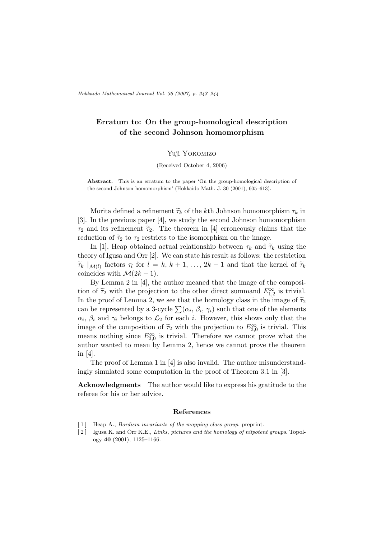## Erratum to: On the group-homological description of the second Johnson homomorphism

## Yuji Yokomizo

## (Received October 4, 2006)

Abstract. This is an erratum to the paper 'On the group-homological description of the second Johnson homomorphism' (Hokkaido Math. J. 30 (2001), 605–613).

Morita defined a refinement  $\tilde{\tau}_k$  of the kth Johnson homomorphism  $\tau_k$  in [3]. In the previous paper [4], we study the second Johnson homomorphism  $\tau_2$  and its refinement  $\tilde{\tau}_2$ . The theorem in [4] erroneously claims that the reduction of  $\tilde{\tau}_2$  to  $\tau_2$  restricts to the isomorphism on the image.

In [1], Heap obtained actual relationship between  $\tau_k$  and  $\tilde{\tau}_k$  using the theory of Igusa and Orr [2]. We can state his result as follows: the restriction  $\widetilde{\tau}_k \mid_{\mathcal{M}(l)}$  factors  $\tau_l$  for  $l = k, k + 1, \ldots, 2k - 1$  and that the kernel of  $\widetilde{\tau}_k$ coincides with  $\mathcal{M}(2k-1)$ .

By Lemma 2 in [4], the author meaned that the image of the composition of  $\tilde{\tau}_2$  with the projection to the other direct summand  $E_{1,2}^{\infty}$  is trivial. In the proof of Lemma 2, we see that the homology class in the image of  $\tilde{\tau}_2$ of the proof of Lemma 2, we see that the homology class in the mage of  $\gamma_2$  can be represented by a 3-cycle  $\sum(\alpha_i, \beta_i, \gamma_i)$  such that one of the elements  $\alpha_i$ ,  $\beta_i$  and  $\gamma_i$  belongs to  $\mathcal{L}_2$  for each i. However, this shows only that the image of the composition of  $\tilde{\tau}_2$  with the projection to  $E_{3,0}^{\infty}$  is trivial. This means nothing since  $E_{3,0}^{\infty}$  is trivial. Therefore we cannot prove what the author wanted to mean by Lemma 2, hence we cannot prove the theorem in [4].

The proof of Lemma 1 in [4] is also invalid. The author misunderstandingly simulated some computation in the proof of Theorem 3.1 in [3].

Acknowledgments The author would like to express his gratitude to the referee for his or her advice.

## References

- [1] Heap A., *Bordism invariants of the mapping class group.* preprint.
- [2] Igusa K. and Orr K.E., Links, pictures and the homology of nilpotent groups. Topology 40 (2001), 1125–1166.